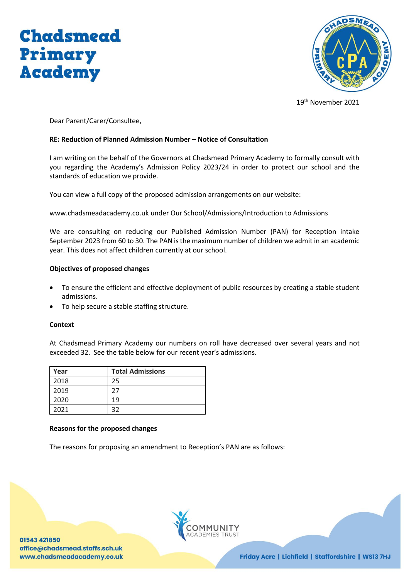



19th November 2021

Dear Parent/Carer/Consultee,

# **RE: Reduction of Planned Admission Number – Notice of Consultation**

I am writing on the behalf of the Governors at Chadsmead Primary Academy to formally consult with you regarding the Academy's Admission Policy 2023/24 in order to protect our school and the standards of education we provide.

You can view a full copy of the proposed admission arrangements on our website:

www.chadsmeadacademy.co.uk under Our School/Admissions/Introduction to Admissions

We are consulting on reducing our Published Admission Number (PAN) for Reception intake September 2023 from 60 to 30. The PAN is the maximum number of children we admit in an academic year. This does not affect children currently at our school.

## **Objectives of proposed changes**

- To ensure the efficient and effective deployment of public resources by creating a stable student admissions.
- To help secure a stable staffing structure.

## **Context**

At Chadsmead Primary Academy our numbers on roll have decreased over several years and not exceeded 32. See the table below for our recent year's admissions.

| Year | <b>Total Admissions</b> |
|------|-------------------------|
| 2018 | 25                      |
| 2019 | 27                      |
| 2020 | 19                      |
| 2021 | つつ                      |

## **Reasons for the proposed changes**

The reasons for proposing an amendment to Reception's PAN are as follows:

01543 421850 office@chadsmead.staffs.sch.uk www.chadsmeadacademy.co.uk



Friday Acre | Lichfield | Staffordshire | WS13 7HJ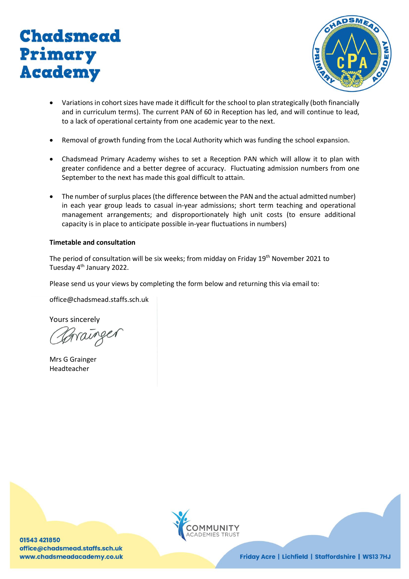



- Variations in cohort sizes have made it difficult for the school to plan strategically (both financially and in curriculum terms). The current PAN of 60 in Reception has led, and will continue to lead, to a lack of operational certainty from one academic year to the next.
- Removal of growth funding from the Local Authority which was funding the school expansion.
- Chadsmead Primary Academy wishes to set a Reception PAN which will allow it to plan with greater confidence and a better degree of accuracy. Fluctuating admission numbers from one September to the next has made this goal difficult to attain.
- The number of surplus places (the difference between the PAN and the actual admitted number) in each year group leads to casual in-year admissions; short term teaching and operational management arrangements; and disproportionately high unit costs (to ensure additional capacity is in place to anticipate possible in-year fluctuations in numbers)

# **Timetable and consultation**

The period of consultation will be six weeks; from midday on Friday 19<sup>th</sup> November 2021 to Tuesday 4th January 2022.

Please send us your views by completing the form below and returning this via email to:

office@chadsmead.staffs.sch.uk

Yours sincerely

Mrs G Grainger Headteacher

01543 421850 office@chadsmead.staffs.sch.uk www.chadsmeadacademy.co.uk